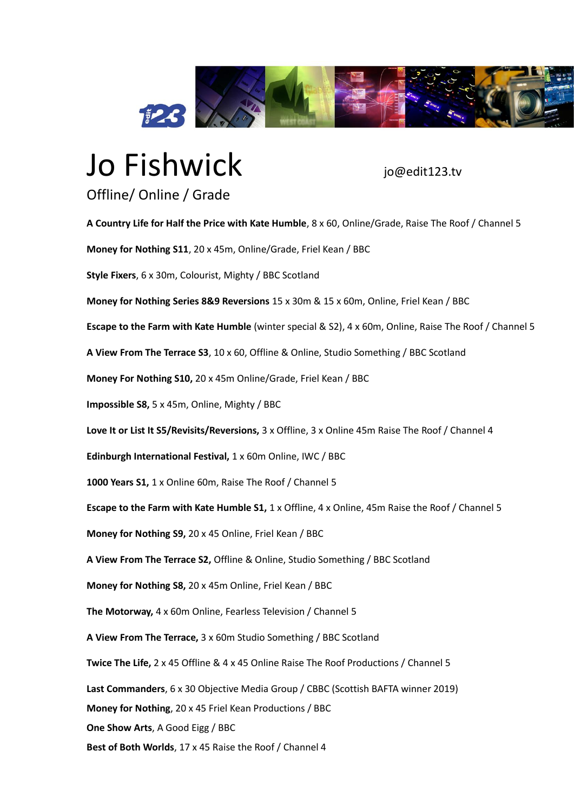

## Jo Fishwick io@edit123.tv

## Offline/ Online / Grade

**A Country Life for Half the Price with Kate Humble**, 8 x 60, Online/Grade, Raise The Roof / Channel 5 **Money for Nothing S11**, 20 x 45m, Online/Grade, Friel Kean / BBC **Style Fixers**, 6 x 30m, Colourist, Mighty / BBC Scotland **Money for Nothing Series 8&9 Reversions** 15 x 30m & 15 x 60m, Online, Friel Kean / BBC **Escape to the Farm with Kate Humble** (winter special & S2), 4 x 60m, Online, Raise The Roof / Channel 5 **A View From The Terrace S3**, 10 x 60, Offline & Online, Studio Something / BBC Scotland **Money For Nothing S10,** 20 x 45m Online/Grade, Friel Kean / BBC **Impossible S8,** 5 x 45m, Online, Mighty / BBC **Love It or List It S5/Revisits/Reversions,** 3 x Offline, 3 x Online 45m Raise The Roof / Channel 4 **Edinburgh International Festival,** 1 x 60m Online, IWC / BBC **1000 Years S1,** 1 x Online 60m, Raise The Roof / Channel 5 **Escape to the Farm with Kate Humble S1,** 1 x Offline, 4 x Online, 45m Raise the Roof / Channel 5 **Money for Nothing S9,** 20 x 45 Online, Friel Kean / BBC **A View From The Terrace S2,** Offline & Online, Studio Something / BBC Scotland **Money for Nothing S8,** 20 x 45m Online, Friel Kean / BBC **The Motorway,** 4 x 60m Online, Fearless Television / Channel 5 **A View From The Terrace,** 3 x 60m Studio Something / BBC Scotland **Twice The Life,** 2 x 45 Offline & 4 x 45 Online Raise The Roof Productions / Channel 5 **Last Commanders**, 6 x 30 Objective Media Group / CBBC (Scottish BAFTA winner 2019) **Money for Nothing**, 20 x 45 Friel Kean Productions / BBC **One Show Arts**, A Good Eigg / BBC **Best of Both Worlds**, 17 x 45 Raise the Roof / Channel 4